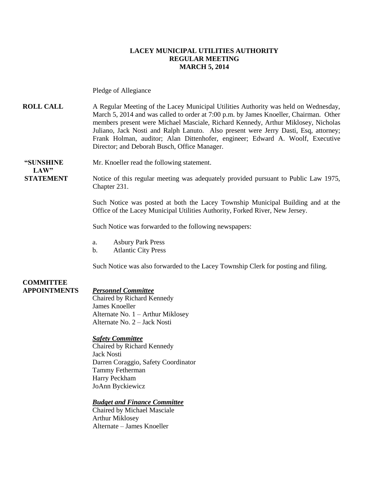### **LACEY MUNICIPAL UTILITIES AUTHORITY REGULAR MEETING MARCH 5, 2014**

Pledge of Allegiance

**ROLL CALL** A Regular Meeting of the Lacey Municipal Utilities Authority was held on Wednesday, March 5, 2014 and was called to order at 7:00 p.m. by James Knoeller, Chairman. Other members present were Michael Masciale, Richard Kennedy, Arthur Miklosey, Nicholas Juliano, Jack Nosti and Ralph Lanuto. Also present were Jerry Dasti, Esq, attorney; Frank Holman, auditor; Alan Dittenhofer, engineer; Edward A. Woolf, Executive Director; and Deborah Busch, Office Manager.

 $LAW"$ 

**"SUNSHINE** Mr. Knoeller read the following statement.

**STATEMENT** Notice of this regular meeting was adequately provided pursuant to Public Law 1975, Chapter 231.

> Such Notice was posted at both the Lacey Township Municipal Building and at the Office of the Lacey Municipal Utilities Authority, Forked River, New Jersey.

Such Notice was forwarded to the following newspapers:

- a. Asbury Park Press
- b. Atlantic City Press

Such Notice was also forwarded to the Lacey Township Clerk for posting and filing.

#### **COMMITTEE APPOINTMENTS** *Personnel Committee*

Chaired by Richard Kennedy James Knoeller Alternate No. 1 – Arthur Miklosey Alternate No. 2 – Jack Nosti

#### *Safety Committee*

Chaired by Richard Kennedy Jack Nosti Darren Coraggio, Safety Coordinator Tammy Fetherman Harry Peckham JoAnn Byckiewicz

#### *Budget and Finance Committee*

Chaired by Michael Masciale Arthur Miklosey Alternate – James Knoeller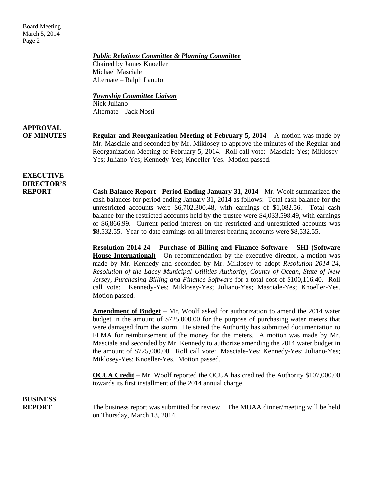Board Meeting March 5, 2014 Page 2

#### *Public Relations Committee & Planning Committee*

Chaired by James Knoeller Michael Masciale Alternate – Ralph Lanuto

#### *Township Committee Liaison*

Nick Juliano Alternate – Jack Nosti

**APPROVAL**

**OF MINUTES Regular and Reorganization Meeting of February 5, 2014** – A motion was made by Mr. Masciale and seconded by Mr. Miklosey to approve the minutes of the Regular and Reorganization Meeting of February 5, 2014. Roll call vote: Masciale-Yes; Miklosey-Yes; Juliano-Yes; Kennedy-Yes; Knoeller-Yes. Motion passed.

### **EXECUTIVE DIRECTOR'S**

**REPORT Cash Balance Report - Period Ending January 31, 2014** - Mr. Woolf summarized the cash balances for period ending January 31, 2014 as follows: Total cash balance for the unrestricted accounts were \$6,702,300.48, with earnings of \$1,082.56. Total cash balance for the restricted accounts held by the trustee were \$4,033,598.49, with earnings of \$6,866.99. Current period interest on the restricted and unrestricted accounts was \$8,532.55. Year-to-date earnings on all interest bearing accounts were \$8,532.55.

> **Resolution 2014-24 – Purchase of Billing and Finance Software – SHI (Software House International)** - On recommendation by the executive director, a motion was made by Mr. Kennedy and seconded by Mr. Miklosey to adopt *Resolution 2014-24, Resolution of the Lacey Municipal Utilities Authority, County of Ocean, State of New Jersey, Purchasing Billing and Finance Software* for a total cost of \$100,116.40. Roll call vote: Kennedy-Yes; Miklosey-Yes; Juliano-Yes; Masciale-Yes; Knoeller-Yes. Motion passed.

> **Amendment of Budget** – Mr. Woolf asked for authorization to amend the 2014 water budget in the amount of \$725,000.00 for the purpose of purchasing water meters that were damaged from the storm. He stated the Authority has submitted documentation to FEMA for reimbursement of the money for the meters. A motion was made by Mr. Masciale and seconded by Mr. Kennedy to authorize amending the 2014 water budget in the amount of \$725,000.00. Roll call vote: Masciale-Yes; Kennedy-Yes; Juliano-Yes; Miklosey-Yes; Knoeller-Yes. Motion passed.

> **OCUA Credit** – Mr. Woolf reported the OCUA has credited the Authority \$107,000.00 towards its first installment of the 2014 annual charge.

**BUSINESS**

**REPORT** The business report was submitted for review. The MUAA dinner/meeting will be held on Thursday, March 13, 2014.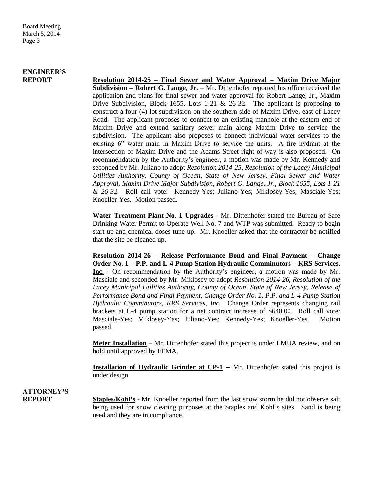### **ENGINEER'S**

**REPORT Resolution 2014-25 – Final Sewer and Water Approval – Maxim Drive Major Subdivision – Robert G. Lange, Jr.** – Mr. Dittenhofer reported his office received the application and plans for final sewer and water approval for Robert Lange, Jr., Maxim Drive Subdivision, Block 1655, Lots 1-21  $& 26-32$ . The applicant is proposing to construct a four (4) lot subdivision on the southern side of Maxim Drive, east of Lacey Road. The applicant proposes to connect to an existing manhole at the eastern end of Maxim Drive and extend sanitary sewer main along Maxim Drive to service the subdivision. The applicant also proposes to connect individual water services to the existing 6" water main in Maxim Drive to service the units. A fire hydrant at the intersection of Maxim Drive and the Adams Street right-of-way is also proposed. On recommendation by the Authority's engineer, a motion was made by Mr. Kennedy and seconded by Mr. Juliano to adopt *Resolution 2014-25, Resolution of the Lacey Municipal Utilities Authority, County of Ocean, State of New Jersey, Final Sewer and Water Approval, Maxim Drive Major Subdivision, Robert G. Lange, Jr., Block 1655, Lots 1-21 & 26-32.* Roll call vote: Kennedy-Yes; Juliano-Yes; Miklosey-Yes; Masciale-Yes; Knoeller-Yes. Motion passed.

> **Water Treatment Plant No. 1 Upgrades** - Mr. Dittenhofer stated the Bureau of Safe Drinking Water Permit to Operate Well No. 7 and WTP was submitted. Ready to begin start-up and chemical doses tune-up. Mr. Knoeller asked that the contractor be notified that the site be cleaned up.

> **Resolution 2014-26 – Release Performance Bond and Final Payment – Change Order No. 1 – P.P. and L-4 Pump Station Hydraulic Comminutors – KRS Services, Inc.** - On recommendation by the Authority's engineer, a motion was made by Mr. Masciale and seconded by Mr. Miklosey to adopt *Resolution 2014-26, Resolution of the Lacey Municipal Utilities Authority, County of Ocean, State of New Jersey, Release of Performance Bond and Final Payment, Change Order No. 1, P.P. and L-4 Pump Station Hydraulic Comminutors, KRS Services, Inc.* Change Order represents changing rail brackets at L-4 pump station for a net contract increase of \$640.00. Roll call vote: Masciale-Yes; Miklosey-Yes; Juliano-Yes; Kennedy-Yes; Knoeller-Yes. Motion passed.

> **Meter Installation** – Mr. Dittenhofer stated this project is under LMUA review, and on hold until approved by FEMA.

> **Installation of Hydraulic Grinder at CP-1 – Mr.** Dittenhofer stated this project is under design.

### **ATTORNEY'S**

**REPORT Staples/Kohl's** - Mr. Knoeller reported from the last snow storm he did not observe salt being used for snow clearing purposes at the Staples and Kohl's sites. Sand is being used and they are in compliance.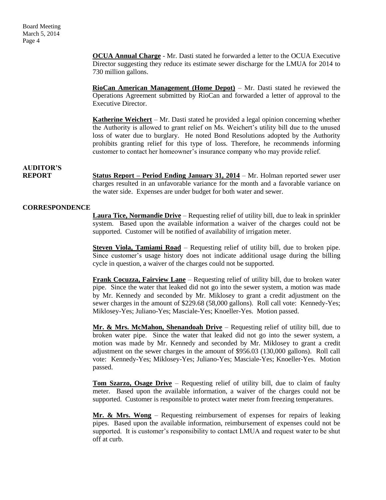**OCUA Annual Charge** - Mr. Dasti stated he forwarded a letter to the OCUA Executive Director suggesting they reduce its estimate sewer discharge for the LMUA for 2014 to 730 million gallons.

**RioCan American Management (Home Depot)** – Mr. Dasti stated he reviewed the Operations Agreement submitted by RioCan and forwarded a letter of approval to the Executive Director.

**Katherine Weichert** – Mr. Dasti stated he provided a legal opinion concerning whether the Authority is allowed to grant relief on Ms. Weichert's utility bill due to the unused loss of water due to burglary. He noted Bond Resolutions adopted by the Authority prohibits granting relief for this type of loss. Therefore, he recommends informing customer to contact her homeowner's insurance company who may provide relief.

### **AUDITOR'S**

**REPORT Status Report – Period Ending January 31, 2014** – Mr. Holman reported sewer user charges resulted in an unfavorable variance for the month and a favorable variance on the water side. Expenses are under budget for both water and sewer.

### **CORRESPONDENCE**

**Laura Tice, Normandie Drive** – Requesting relief of utility bill, due to leak in sprinkler system. Based upon the available information a waiver of the charges could not be supported. Customer will be notified of availability of irrigation meter.

**Steven Viola, Tamiami Road** – Requesting relief of utility bill, due to broken pipe. Since customer's usage history does not indicate additional usage during the billing cycle in question, a waiver of the charges could not be supported.

**Frank Cocuzza, Fairview Lane** – Requesting relief of utility bill, due to broken water pipe. Since the water that leaked did not go into the sewer system, a motion was made by Mr. Kennedy and seconded by Mr. Miklosey to grant a credit adjustment on the sewer charges in the amount of \$229.68 (58,000 gallons). Roll call vote: Kennedy-Yes; Miklosey-Yes; Juliano-Yes; Masciale-Yes; Knoeller-Yes. Motion passed.

**Mr. & Mrs. McMahon, Shenandoah Drive** – Requesting relief of utility bill, due to broken water pipe. Since the water that leaked did not go into the sewer system, a motion was made by Mr. Kennedy and seconded by Mr. Miklosey to grant a credit adjustment on the sewer charges in the amount of \$956.03 (130,000 gallons). Roll call vote: Kennedy-Yes; Miklosey-Yes; Juliano-Yes; Masciale-Yes; Knoeller-Yes. Motion passed.

**Tom Szarzo, Osage Drive** – Requesting relief of utility bill, due to claim of faulty meter. Based upon the available information, a waiver of the charges could not be supported. Customer is responsible to protect water meter from freezing temperatures.

**Mr. & Mrs. Wong** – Requesting reimbursement of expenses for repairs of leaking pipes. Based upon the available information, reimbursement of expenses could not be supported. It is customer's responsibility to contact LMUA and request water to be shut off at curb.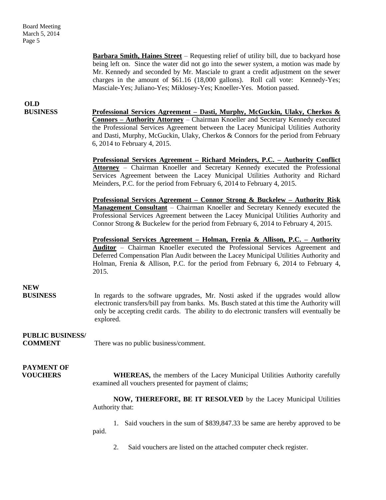**Barbara Smith, Haines Street** – Requesting relief of utility bill, due to backyard hose being left on. Since the water did not go into the sewer system, a motion was made by Mr. Kennedy and seconded by Mr. Masciale to grant a credit adjustment on the sewer charges in the amount of \$61.16 (18,000 gallons). Roll call vote: Kennedy-Yes; Masciale-Yes; Juliano-Yes; Miklosey-Yes; Knoeller-Yes. Motion passed.

## **OLD**

**BUSINESS Professional Services Agreement – Dasti, Murphy, McGuckin, Ulaky, Cherkos & Connors – Authority Attorney** – Chairman Knoeller and Secretary Kennedy executed the Professional Services Agreement between the Lacey Municipal Utilities Authority and Dasti, Murphy, McGuckin, Ulaky, Cherkos & Connors for the period from February 6, 2014 to February 4, 2015.

> **Professional Services Agreement – Richard Meinders, P.C. – Authority Conflict Attorney** – Chairman Knoeller and Secretary Kennedy executed the Professional Services Agreement between the Lacey Municipal Utilities Authority and Richard Meinders, P.C. for the period from February 6, 2014 to February 4, 2015.

> **Professional Services Agreement – Connor Strong & Buckelew – Authority Risk Management Consultant** – Chairman Knoeller and Secretary Kennedy executed the Professional Services Agreement between the Lacey Municipal Utilities Authority and Connor Strong & Buckelew for the period from February 6, 2014 to February 4, 2015.

> **Professional Services Agreement – Holman, Frenia & Allison, P.C. – Authority Auditor** – Chairman Knoeller executed the Professional Services Agreement and Deferred Compensation Plan Audit between the Lacey Municipal Utilities Authority and Holman, Frenia & Allison, P.C. for the period from February 6, 2014 to February 4, 2015.

### **NEW**

**BUSINESS** In regards to the software upgrades, Mr. Nosti asked if the upgrades would allow electronic transfers/bill pay from banks. Ms. Busch stated at this time the Authority will only be accepting credit cards. The ability to do electronic transfers will eventually be explored.

### **PUBLIC BUSINESS/**

**COMMENT** There was no public business/comment.

# **PAYMENT OF**

**VOUCHERS** WHEREAS, the members of the Lacey Municipal Utilities Authority carefully examined all vouchers presented for payment of claims;

> **NOW, THEREFORE, BE IT RESOLVED** by the Lacey Municipal Utilities Authority that:

> 1. Said vouchers in the sum of \$839,847.33 be same are hereby approved to be paid.

2. Said vouchers are listed on the attached computer check register.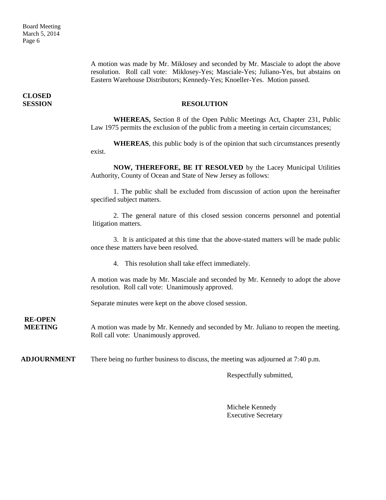A motion was made by Mr. Miklosey and seconded by Mr. Masciale to adopt the above resolution. Roll call vote: Miklosey-Yes; Masciale-Yes; Juliano-Yes, but abstains on Eastern Warehouse Distributors; Kennedy-Yes; Knoeller-Yes. Motion passed.

**CLOSED** 

#### **SESSION RESOLUTION**

**WHEREAS,** Section 8 of the Open Public Meetings Act, Chapter 231, Public Law 1975 permits the exclusion of the public from a meeting in certain circumstances;

**WHEREAS**, this public body is of the opinion that such circumstances presently exist.

**NOW, THEREFORE, BE IT RESOLVED** by the Lacey Municipal Utilities Authority, County of Ocean and State of New Jersey as follows:

1. The public shall be excluded from discussion of action upon the hereinafter specified subject matters.

2. The general nature of this closed session concerns personnel and potential litigation matters.

3. It is anticipated at this time that the above-stated matters will be made public once these matters have been resolved.

4. This resolution shall take effect immediately.

A motion was made by Mr. Masciale and seconded by Mr. Kennedy to adopt the above resolution. Roll call vote: Unanimously approved.

Separate minutes were kept on the above closed session.

**RE-OPEN**

**MEETING** A motion was made by Mr. Kennedy and seconded by Mr. Juliano to reopen the meeting. Roll call vote: Unanimously approved.

**ADJOURNMENT** There being no further business to discuss, the meeting was adjourned at 7:40 p.m.

Respectfully submitted,

Michele Kennedy Executive Secretary